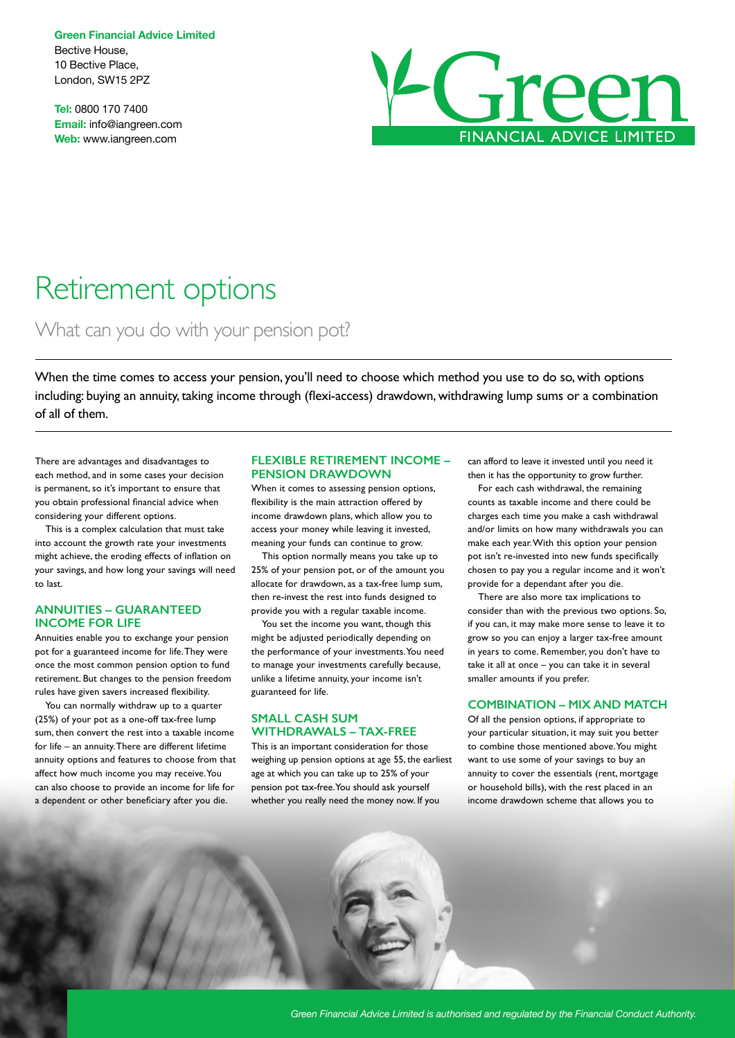**Green Financial Advice Limited** Bective House, 10 Bective Place, London, SW15 2PZ

**Tel:** 0800 170 7400 **Email:** info@iangreen.com **Web:** www.iangreen.com



# Retirement options

What can you do with your pension pot?

When the time comes to access your pension, you'll need to choose which method you use to do so, with options including: buying an annuity, taking income through (flexi-access) drawdown, withdrawing lump sums or a combination of all of them.

There are advantages and disadvantages to each method, and in some cases your decision is permanent, so it's important to ensure that you obtain professional financial advice when considering your different options.

This is a complex calculation that must take into account the growth rate your investments might achieve, the eroding effects of inflation on your savings, and how long your savings will need to last.

### **ANNUITIES – GUARANTEED INCOME FOR LIFE**

Annuities enable you to exchange your pension pot for a guaranteed income for life. They were once the most common pension option to fund retirement. But changes to the pension freedom rules have given savers increased flexibility.

You can normally withdraw up to a quarter (25%) of your pot as a one-off tax-free lump sum, then convert the rest into a taxable income for life – an annuity. There are different lifetime annuity options and features to choose from that affect how much income you may receive. You can also choose to provide an income for life for a dependent or other beneficiary after you die.

# **FLEXIBLE RETIREMENT INCOME – PENSION DRAWDOWN**

When it comes to assessing pension options, flexibility is the main attraction offered by income drawdown plans, which allow you to access your money while leaving it invested, meaning your funds can continue to grow.

This option normally means you take up to 25% of your pension pot, or of the amount you allocate for drawdown, as a tax-free lump sum, then re-invest the rest into funds designed to provide you with a regular taxable income.

You set the income you want, though this might be adjusted periodically depending on the performance of your investments. You need to manage your investments carefully because, unlike a lifetime annuity, your income isn't guaranteed for life.

#### **SMALL CASH SUM WITHDRAWALS – TAX-FREE**

This is an important consideration for those weighing up pension options at age 55, the earliest age at which you can take up to 25% of your pension pot tax-free. You should ask yourself whether you really need the money now. If you

can afford to leave it invested until you need it then it has the opportunity to grow further.

For each cash withdrawal, the remaining counts as taxable income and there could be charges each time you make a cash withdrawal and/or limits on how many withdrawals you can make each year. With this option your pension pot isn't re-invested into new funds specifically chosen to pay you a regular income and it won't provide for a dependant after you die.

There are also more tax implications to consider than with the previous two options. So, if you can, it may make more sense to leave it to grow so you can enjoy a larger tax-free amount in years to come. Remember, you don't have to take it all at once – you can take it in several smaller amounts if you prefer.

#### **COMBINATION – MIX AND MATCH**

Of all the pension options, if appropriate to your particular situation, it may suit you better to combine those mentioned above. You might want to use some of your savings to buy an annuity to cover the essentials (rent, mortgage or household bills), with the rest placed in an income drawdown scheme that allows you to